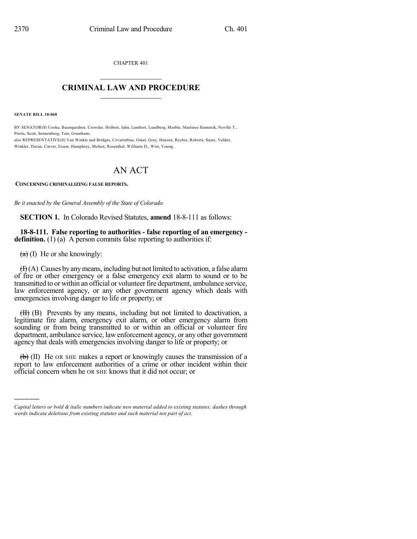CHAPTER 401

## $\overline{\phantom{a}}$  . The set of the set of the set of the set of the set of the set of the set of the set of the set of the set of the set of the set of the set of the set of the set of the set of the set of the set of the set o **CRIMINAL LAW AND PROCEDURE**  $\frac{1}{2}$  ,  $\frac{1}{2}$  ,  $\frac{1}{2}$  ,  $\frac{1}{2}$  ,  $\frac{1}{2}$  ,  $\frac{1}{2}$  ,  $\frac{1}{2}$

**SENATE BILL 18-068**

BY SENATOR(S) Cooke, Baumgardner, Crowder, Holbert, Jahn, Lambert, Lundberg, Marble, Martinez Humenik, Neville T., Priola, Scott, Sonnenberg, Tate, Grantham; also REPRESENTATIVE(S) Van Winkle and Bridges, Covarrubias, Ginal, Gray, Hansen, Reyher, Roberts, Saine, Valdez,

Winkler, Duran, Carver, Exum, Humphrey, Melton, Rosenthal, Williams D., Wist, Young.

## AN ACT

**CONCERNING CRIMINALIZING FALSE REPORTS.**

*Be it enacted by the General Assembly of the State of Colorado:*

**SECTION 1.** In Colorado Revised Statutes, **amend** 18-8-111 as follows:

## **18-8-111. False reporting to authorities - false reporting of an emergency definition.** (1) (a) A person commits false reporting to authorities if:

 $(a)$  (I) He or she knowingly:

)))))

 $(H)(A)$  Causes by any means, including but not limited to activation, a false alarm of fire or other emergency or a false emergency exit alarm to sound or to be transmitted to or within an official or volunteerfire department, ambulance service, law enforcement agency, or any other government agency which deals with emergencies involving danger to life or property; or

(II) (B) Prevents by any means, including but not limited to deactivation, a legitimate fire alarm, emergency exit alarm, or other emergency alarm from sounding or from being transmitted to or within an official or volunteer fire department, ambulance service, law enforcement agency, or any other government agency that deals with emergencies involving danger to life or property; or

 $\left(\frac{b}{b}\right)$  (II) He OR SHE makes a report or knowingly causes the transmission of a report to law enforcement authorities of a crime or other incident within their official concern when he OR SHE knows that it did not occur; or

*Capital letters or bold & italic numbers indicate new material added to existing statutes; dashes through words indicate deletions from existing statutes and such material not part of act.*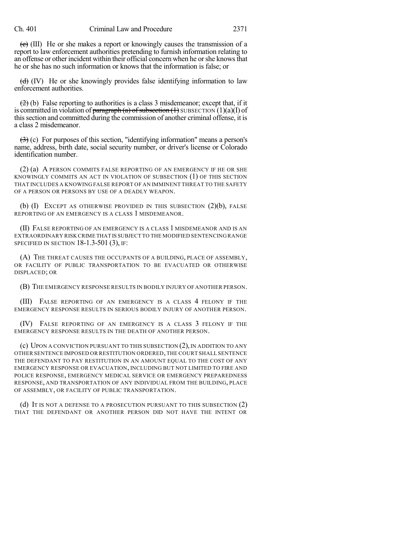$\overline{c}$  (III) He or she makes a report or knowingly causes the transmission of a report to law enforcement authorities pretending to furnish information relating to an offense or other incident within their official concern when he orshe knowsthat he or she has no such information or knows that the information is false; or

 $(d)$  (IV) He or she knowingly provides false identifying information to law enforcement authorities.

 $(2)$  (b) False reporting to authorities is a class 3 misdemeanor; except that, if it is committed in violation of paragraph (a) of subsection  $(1)$  SUBSECTION  $(1)(a)(I)$  of thissection and committed during the commission of another criminal offense, it is a class 2 misdemeanor.

 $(3)$  (c) For purposes of this section, "identifying information" means a person's name, address, birth date, social security number, or driver's license or Colorado identification number.

(2) (a) A PERSON COMMITS FALSE REPORTING OF AN EMERGENCY IF HE OR SHE KNOWINGLY COMMITS AN ACT IN VIOLATION OF SUBSECTION (1) OF THIS SECTION THAT INCLUDES A KNOWING FALSE REPORT OF AN IMMINENT THREAT TO THE SAFETY OF A PERSON OR PERSONS BY USE OF A DEADLY WEAPON.

(b)  $(I)$  EXCEPT AS OTHERWISE PROVIDED IN THIS SUBSECTION  $(2)(b)$ , FALSE REPORTING OF AN EMERGENCY IS A CLASS 1 MISDEMEANOR.

(II) FALSE REPORTING OF AN EMERGENCY IS A CLASS 1 MISDEMEANOR AND IS AN EXTRAORDINARY RISK CRIME THAT IS SUBJECT TO THE MODIFIED SENTENCING RANGE SPECIFIED IN SECTION 18-1.3-501 (3), IF:

(A) THE THREAT CAUSES THE OCCUPANTS OF A BUILDING, PLACE OF ASSEMBLY, OR FACILITY OF PUBLIC TRANSPORTATION TO BE EVACUATED OR OTHERWISE DISPLACED; OR

(B) THE EMERGENCY RESPONSE RESULTS IN BODILY INJURY OF ANOTHER PERSON.

(III) FALSE REPORTING OF AN EMERGENCY IS A CLASS 4 FELONY IF THE EMERGENCY RESPONSE RESULTS IN SERIOUS BODILY INJURY OF ANOTHER PERSON.

(IV) FALSE REPORTING OF AN EMERGENCY IS A CLASS 3 FELONY IF THE EMERGENCY RESPONSE RESULTS IN THE DEATH OF ANOTHER PERSON.

(c) UPON A CONVICTION PURSUANT TO THIS SUBSECTION (2), IN ADDITION TO ANY OTHER SENTENCE IMPOSED OR RESTITUTION ORDERED,THE COURT SHALL SENTENCE THE DEFENDANT TO PAY RESTITUTION IN AN AMOUNT EQUAL TO THE COST OF ANY EMERGENCY RESPONSE OR EVACUATION, INCLUDING BUT NOT LIMITED TO FIRE AND POLICE RESPONSE, EMERGENCY MEDICAL SERVICE OR EMERGENCY PREPAREDNESS RESPONSE, AND TRANSPORTATION OF ANY INDIVIDUAL FROM THE BUILDING, PLACE OF ASSEMBLY, OR FACILITY OF PUBLIC TRANSPORTATION.

(d) IT IS NOT A DEFENSE TO A PROSECUTION PURSUANT TO THIS SUBSECTION (2) THAT THE DEFENDANT OR ANOTHER PERSON DID NOT HAVE THE INTENT OR